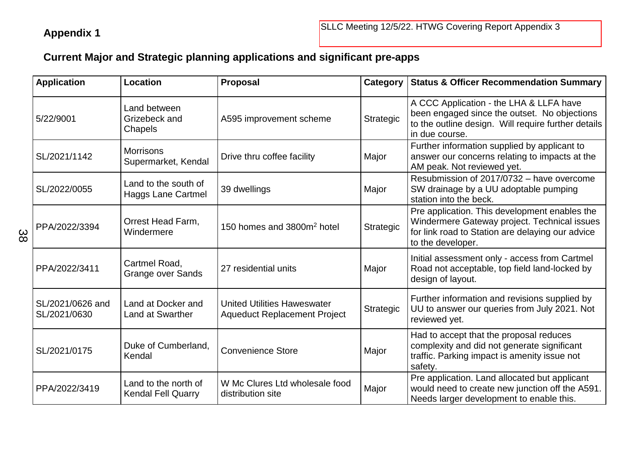## **Current Major and Strategic planning applications and significant pre-apps**

|     | <b>Application</b>               | <b>Location</b>                                   | <b>Proposal</b>                                                           |           | Category   Status & Officer Recommendation Summary                                                                                                                     |  |
|-----|----------------------------------|---------------------------------------------------|---------------------------------------------------------------------------|-----------|------------------------------------------------------------------------------------------------------------------------------------------------------------------------|--|
| ယ္က | 5/22/9001                        | Land between<br>Grizebeck and<br>Chapels          | A595 improvement scheme                                                   | Strategic | A CCC Application - the LHA & LLFA have<br>been engaged since the outset. No objections<br>to the outline design. Will require further details<br>in due course.       |  |
|     | SL/2021/1142                     | <b>Morrisons</b><br>Supermarket, Kendal           | Drive thru coffee facility                                                | Major     | Further information supplied by applicant to<br>answer our concerns relating to impacts at the<br>AM peak. Not reviewed yet.                                           |  |
|     | SL/2022/0055                     | Land to the south of<br><b>Haggs Lane Cartmel</b> | 39 dwellings                                                              | Major     | Resubmission of 2017/0732 - have overcome<br>SW drainage by a UU adoptable pumping<br>station into the beck.                                                           |  |
|     | PPA/2022/3394                    | Orrest Head Farm,<br>Windermere                   | 150 homes and 3800m <sup>2</sup> hotel                                    | Strategic | Pre application. This development enables the<br>Windermere Gateway project. Technical issues<br>for link road to Station are delaying our advice<br>to the developer. |  |
|     | PPA/2022/3411                    | Cartmel Road,<br><b>Grange over Sands</b>         | 27 residential units                                                      | Major     | Initial assessment only - access from Cartmel<br>Road not acceptable, top field land-locked by<br>design of layout.                                                    |  |
|     | SL/2021/0626 and<br>SL/2021/0630 | Land at Docker and<br><b>Land at Swarther</b>     | <b>United Utilities Haweswater</b><br><b>Aqueduct Replacement Project</b> | Strategic | Further information and revisions supplied by<br>UU to answer our queries from July 2021. Not<br>reviewed yet.                                                         |  |
|     | SL/2021/0175                     | Duke of Cumberland,<br>Kendal                     | <b>Convenience Store</b>                                                  | Major     | Had to accept that the proposal reduces<br>complexity and did not generate significant<br>traffic. Parking impact is amenity issue not<br>safety.                      |  |
|     | PPA/2022/3419                    | Land to the north of<br><b>Kendal Fell Quarry</b> | W Mc Clures Ltd wholesale food<br>distribution site                       | Major     | Pre application. Land allocated but applicant<br>would need to create new junction off the A591.<br>Needs larger development to enable this.                           |  |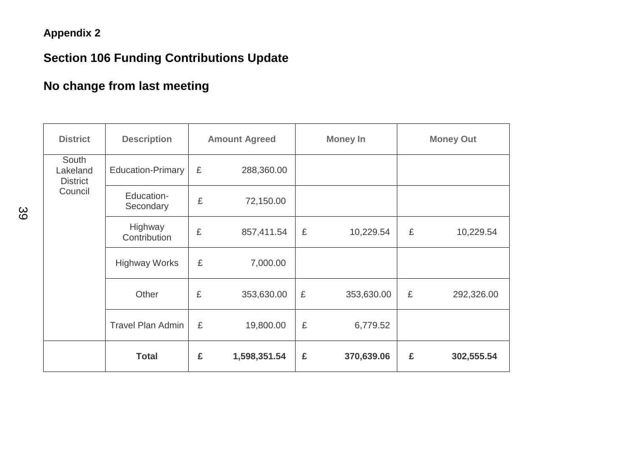## **Appendix 2**

# **Section 106 Funding Contributions Update**

# **No change from last meeting**

| <b>District</b>                      | <b>Description</b>       |   | <b>Amount Agreed</b> | <b>Money In</b> |            |   | <b>Money Out</b> |
|--------------------------------------|--------------------------|---|----------------------|-----------------|------------|---|------------------|
| South<br>Lakeland<br><b>District</b> | <b>Education-Primary</b> | £ | 288,360.00           |                 |            |   |                  |
| Council                              | Education-<br>Secondary  | £ | 72,150.00            |                 |            |   |                  |
|                                      | Highway<br>Contribution  | £ | 857,411.54           | £               | 10,229.54  | £ | 10,229.54        |
|                                      | <b>Highway Works</b>     | £ | 7,000.00             |                 |            |   |                  |
|                                      | Other                    | £ | 353,630.00           | £               | 353,630.00 | £ | 292,326.00       |
|                                      | <b>Travel Plan Admin</b> | £ | 19,800.00            | £               | 6,779.52   |   |                  |
|                                      | <b>Total</b>             | £ | 1,598,351.54         | £               | 370,639.06 | £ | 302,555.54       |